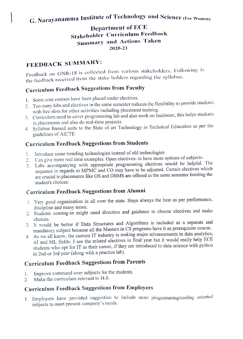# G. Narayanamma Institute of Technology and Science (For Women)

#### Department of ECE Stakeholder Curriculum Feedback Summary and Actions Taken 2020-21

# FEEDBACK SUMMARY:

Feedback on GNR-18 is collected lrom various stakcholders. F'ollowing is the feedback received trom the stake holders regarding the syllabus.

# Curriculum Feedback Suggestions from Faculty

- . Some core courses have been placed under electives.
- 2. Too many labs and electives in the same semester reduces the flexibility to provide students with free slots for other activitics including placement training.
- 3. Curriculum need to cover programming lab and also work on hardware, this hclps students in placements and also do real-time projects
- Syllabus framed suits to the State of art Technology in Technical Education as per the guidelines of AlCTE

### Curriculum Feedback Suggestions from Students

- 1. Introduce some trending technologies instead of old technologies
- 2. Can give more real time examples. Open electives- to have more options of subjects.
- E. Can give more rem university of the programming electives would be helpful. The sequence in regards to MPMC and CO may have to be adjusted. Certain electives which are crucial to placements like OS and DBMS are offered in the same semester limiting the

### Curriculum Feedback Suggestions from Alumni

- 1. Very good organization in all over the state. Stays always the best as per performance, discipline and many more.
- 2. Students coming-in might need direction and guidance to choose electives and make choices.
- 3. It would be better if Data Structures and Algorithms is included as a separate and mandatory subject because all the Masters in CS programs have it as prerequisite course.
- 4. As we all know, the current IT industry is making major advancements in data analytics, AI and ML fields. I see the related electives in final year but it would really help ECE students who opt for IT as their career, if they are introduced to data science with python in 2nd or 3rd year (along with a practice lab).

# Curriculum Feedback Suggestions from Parents

- 1. Improve command over subjects for the students.
- 2. Make the curriculum relevant to 14.0.

student's choices.

### Curriculum Feedback Suggestions from Employers

1. Employers have provided suggestion to include more programming/coding oriented subjects to meet present company's needs.